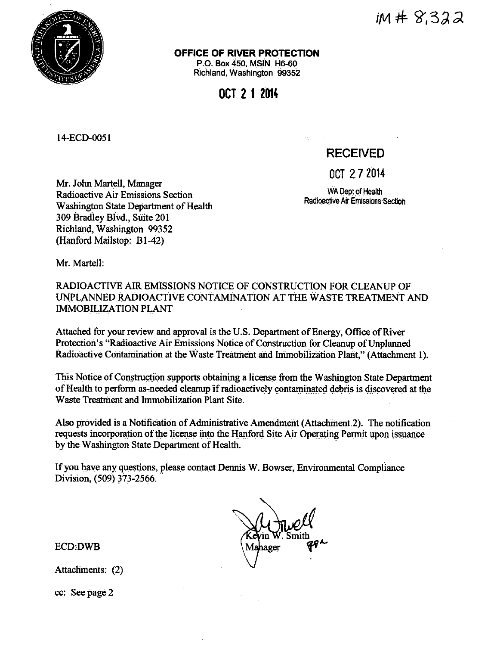

 $IM#8.322$ 

**OFFICE OF RIVER PROTECTION** 

P.O. Box 450, MSIN H6-60 Richland, Washington 99352

**OCT 2 1 2014** 

14-ECD-0051

## **RECEIVED**

### OCT 27 **2014**

WA Dept of Health Radioactive Air Emissions Section

Mr. John Martell, Manager Radioactive Air Emissions Section Washington State Department of Health 309 Bradley Blvd., Suite 201 Richland, Washington 99352 (Hanford Mailstop: B1-42)

Mr. Martell:

RADIOACTIVE AIR EMISSIONS NOTICE OF CONSTRUCTION FOR CLEANUP OF UNPLANNED RADIOACTIVE CONTAMINATION AT THE WASTE TREATMENT AND IMMOBIIJZATION PLANT

Attached for your review and approval is the U.S. Department of Energy, Office of River Protection's "Radioactive Air Emissions Notice of Construction for Cleanup of Unplanned Radioactive Contamination at the Waste Treatment and Immobilization Plant," (Attachment 1).

This Notice of Construction supports obtaining a license from the Washington State Department of Health to perform as-needed cleanup if radioactively contaminated debris is discovered at the Waste Treatment and Immobilization Plant Site.

Also provided is a Notification of Administrative Amendment (Attachment.2). The notification requests incorporation of the license into the Hanford Site Air Operating Permit upon issuance by the Washington State Department of Health.

If you have any questions, please contact Dennis W. Bowser, Environmental Compliance Division, (509) 373-2566.

Mahager

ECD:DWB

Attachments: (2)

cc: See page 2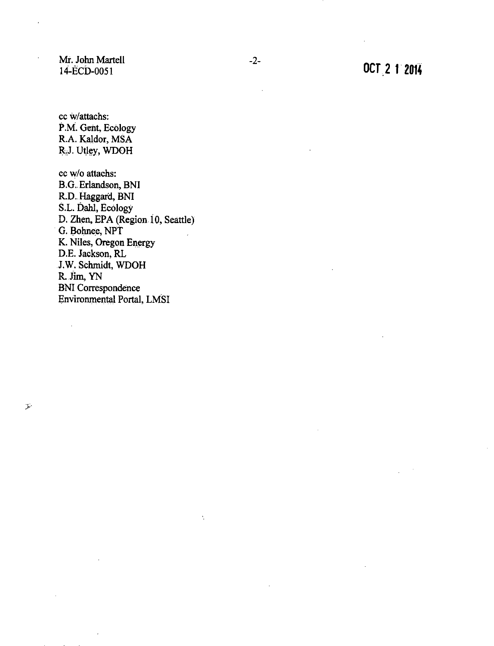Mr. John Martell 14-ECD-0051

 $\ddot{\phantom{a}}$ 

 $\mathcal{F}$ 

-2- **OCT, 2 1 · 2014** 

cc w/attachs: P.M. Gent, Ecology R.A. Kaldor, MSA R.J. Utley, WDOH

cc w/o attachs: B.G. Erlandson, BNI R.D. Haggard, BNI S.L. Dahl, Ecology D. Zhen, EPA (Region 10, Seattle) G. Bohnee, NPT **K.** Niles, Oregon Energy D.E. Jackson, RL J.W. Schmidt, WDOH *R.iim,* YN BNI Correspondence Environmental Portal, LMSI

 $\tilde{\mathcal{N}}$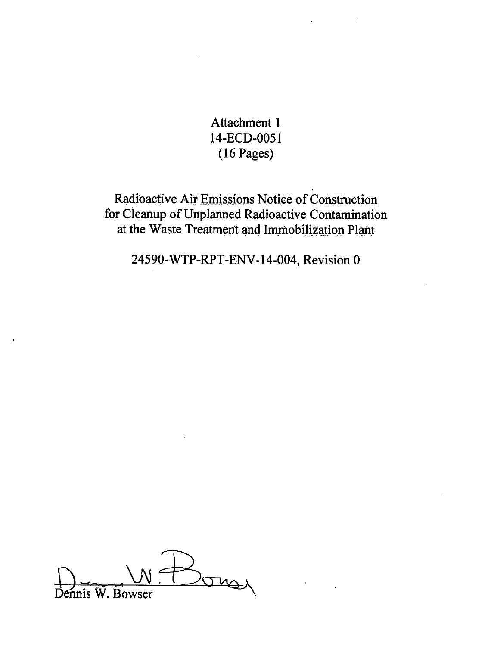Attachment 1 14-ECD-0051  $(16$  Pages)

Radioactive Air Emissions Notice of Construction for Cleanup of Unplanned Radioactive Contamination at the Waste Treatment and Immobilization Plant

24590-WTP-RPT-ENV-14-004, Revision 0

mnis W. Bowser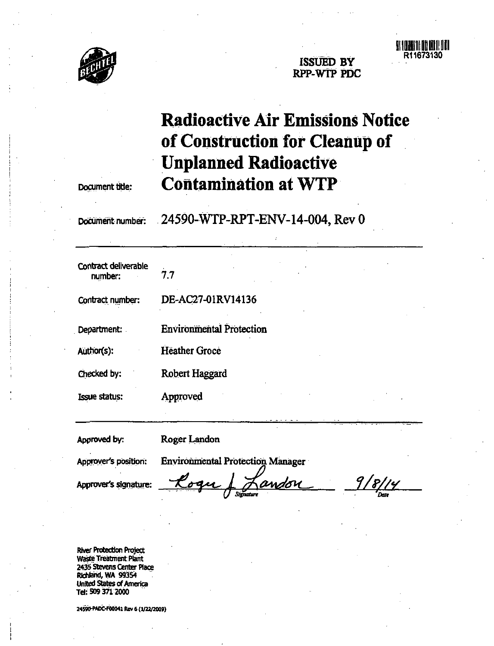

**ISSUED BY RPP-WTP PDC**  R11673130

# **Radioactive Air Emissions Notice** of Construction for Cleanup of **Unplanned Radioactive Contamination at WTP**

Document title:

24590-WTP-RPT-ENV-14-004, Rev 0 Document number:

| Contract deliverable<br>number: | 7.7                             |
|---------------------------------|---------------------------------|
| Contract number:                | DE-AC27-01RV14136               |
| Department:                     | <b>Environmental Protection</b> |
| Author(s):                      | <b>Heather Groce</b>            |
| Checked by:                     | Robert Haggard                  |
| <b>Issue status:</b>            | Approved                        |

Approved by:

Roger Landon

Approver's position.

**Environmental Protection Manager** 

Approver's signature:

 $9/8/14$ 

**River Protection Project Waste Treatment Plant** 2435 Stevens Center Place Richland, WA 99354 **United States of America** Tel: 509 371 2000

24590-PADC-F00041 Rev 6 (1/22/2009)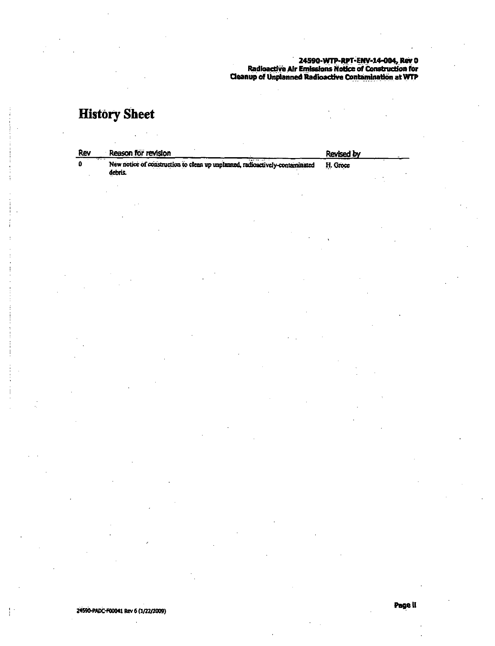## **History Sheet**

| Rev          | Reason for revision                                                                                                                                                                                                                                               | Revised by |  |  |  |
|--------------|-------------------------------------------------------------------------------------------------------------------------------------------------------------------------------------------------------------------------------------------------------------------|------------|--|--|--|
| 0            | New notice of construction to clean up unplanned, radioactively-contaminated<br>debris.                                                                                                                                                                           | H. Groce   |  |  |  |
|              |                                                                                                                                                                                                                                                                   |            |  |  |  |
|              |                                                                                                                                                                                                                                                                   |            |  |  |  |
|              |                                                                                                                                                                                                                                                                   |            |  |  |  |
|              |                                                                                                                                                                                                                                                                   |            |  |  |  |
|              |                                                                                                                                                                                                                                                                   |            |  |  |  |
|              |                                                                                                                                                                                                                                                                   |            |  |  |  |
|              |                                                                                                                                                                                                                                                                   |            |  |  |  |
|              |                                                                                                                                                                                                                                                                   |            |  |  |  |
|              |                                                                                                                                                                                                                                                                   |            |  |  |  |
|              |                                                                                                                                                                                                                                                                   |            |  |  |  |
|              |                                                                                                                                                                                                                                                                   |            |  |  |  |
|              |                                                                                                                                                                                                                                                                   |            |  |  |  |
|              |                                                                                                                                                                                                                                                                   |            |  |  |  |
|              |                                                                                                                                                                                                                                                                   |            |  |  |  |
|              |                                                                                                                                                                                                                                                                   |            |  |  |  |
|              |                                                                                                                                                                                                                                                                   |            |  |  |  |
|              |                                                                                                                                                                                                                                                                   |            |  |  |  |
|              |                                                                                                                                                                                                                                                                   |            |  |  |  |
|              |                                                                                                                                                                                                                                                                   |            |  |  |  |
|              |                                                                                                                                                                                                                                                                   |            |  |  |  |
|              |                                                                                                                                                                                                                                                                   |            |  |  |  |
|              |                                                                                                                                                                                                                                                                   |            |  |  |  |
|              |                                                                                                                                                                                                                                                                   |            |  |  |  |
|              |                                                                                                                                                                                                                                                                   |            |  |  |  |
|              |                                                                                                                                                                                                                                                                   |            |  |  |  |
|              |                                                                                                                                                                                                                                                                   |            |  |  |  |
|              |                                                                                                                                                                                                                                                                   |            |  |  |  |
|              |                                                                                                                                                                                                                                                                   |            |  |  |  |
|              | $\sim 10^7$<br>$\hat{\boldsymbol{\gamma}}$                                                                                                                                                                                                                        |            |  |  |  |
|              | $\mathcal{O}(10^{10} \, \mathrm{Mpc})$<br>$\mathcal{L}^{\text{max}}_{\text{max}}$ and $\mathcal{L}^{\text{max}}_{\text{max}}$<br>$\mathcal{L}(\mathcal{L}^{\mathcal{L}})$ and $\mathcal{L}^{\mathcal{L}}$ are the set of the set of $\mathcal{L}^{\mathcal{L}}$   |            |  |  |  |
| $\epsilon$ . | $\mathcal{F}^{\mathcal{F}}_{\mathcal{F}}$ and $\mathcal{F}^{\mathcal{F}}_{\mathcal{F}}$<br>$\sim 10^{-10}$                                                                                                                                                        |            |  |  |  |
|              | $\mathcal{L}^{\mathcal{L}}(\mathcal{L}^{\mathcal{L}})$ and $\mathcal{L}^{\mathcal{L}}(\mathcal{L}^{\mathcal{L}})$ and $\mathcal{L}^{\mathcal{L}}(\mathcal{L}^{\mathcal{L}})$ . In the contribution<br>$\mathcal{L}(\mathcal{A})$ and $\mathcal{L}(\mathcal{A})$ . |            |  |  |  |
|              | $\frac{1}{2} \sum_{i=1}^{2} \frac{1}{2}$                                                                                                                                                                                                                          |            |  |  |  |
|              |                                                                                                                                                                                                                                                                   |            |  |  |  |

24590-PADC-F00041 Rev 6 (1/22/2009)

 $\bar{a}$ 

 $\frac{1}{2}$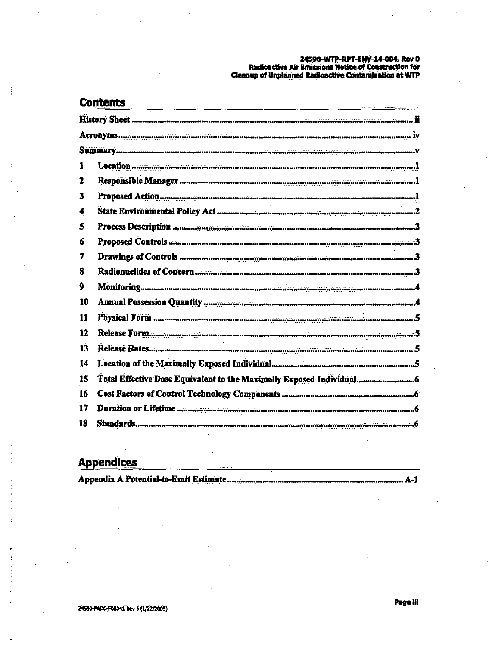|                 | <b>Contents</b>                                                                         |
|-----------------|-----------------------------------------------------------------------------------------|
|                 |                                                                                         |
|                 |                                                                                         |
|                 |                                                                                         |
|                 | $\bf{L}$ 0081100 miinimiinimmiinimmiinimminnon maanuunnon maanuunnon maanuunnon m       |
| 2               |                                                                                         |
| 3               |                                                                                         |
| 4               |                                                                                         |
| 5               |                                                                                         |
| 6               |                                                                                         |
| 7               |                                                                                         |
| 8               |                                                                                         |
| 9               |                                                                                         |
| 10              | Annual Possession Quantity manifesting communications are announced and announcement of |
| 1Ï              |                                                                                         |
| 12              |                                                                                         |
| $1\overline{3}$ |                                                                                         |
| 14              |                                                                                         |
| 15              |                                                                                         |
| 16              |                                                                                         |
| 17              |                                                                                         |
| 18              |                                                                                         |
|                 |                                                                                         |

## **Appendices**

÷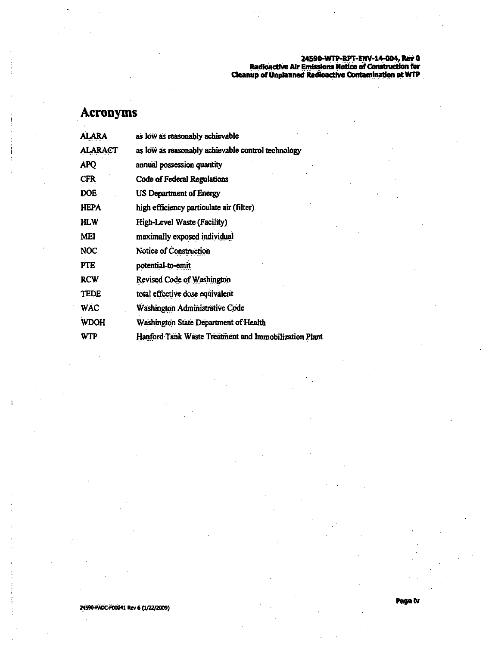## Acronyms

| <b>ALARA</b>   | as low as reasonably achievable                       |
|----------------|-------------------------------------------------------|
| <b>ALARACT</b> | as low as reasonably achievable control technology    |
| <b>APO</b>     | annual possession quantity                            |
| <b>CFR</b>     | <b>Code of Federal Regulations</b>                    |
| DOE.           | US Department of Energy                               |
| <b>HEPA</b>    | high efficiency particulate air (filter)              |
| <b>HLW</b>     | High-Level Waste (Facility)                           |
| <b>MEI</b>     | maximally exposed individual                          |
| <b>NOC</b>     | Notice of Construction                                |
| <b>PTE</b>     | potential-to-emit                                     |
| <b>RCW</b>     | Revised Code of Washington                            |
| <b>TEDE</b>    | total effective dose equivalent                       |
| <b>WAC</b>     | Washington Administrative Code                        |
| <b>WDOH</b>    | Washington State Department of Health                 |
| <b>WTP</b>     | Hanford Tank Waste Treatment and Immobilization Plant |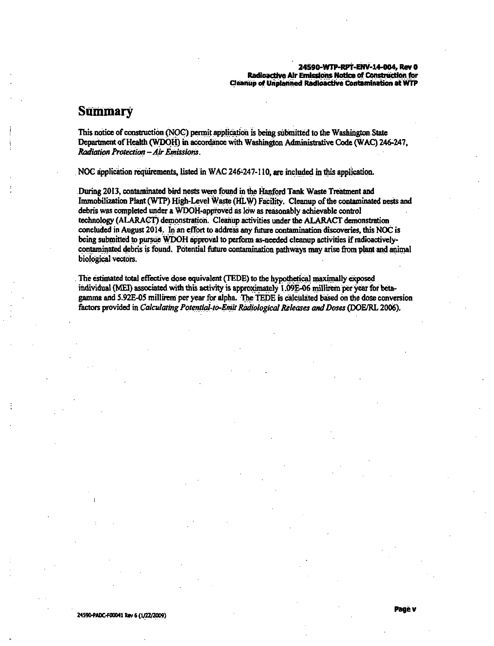## **Summary**

This notice of construction (NOC) permit application is being submitted to the Washington State Department of Health (WDOH) in accordance with Washington Administrative Code (WAC) 246-247, Radiation Protection - Air Emissions.

NOC application requirements, listed in WAC 246-247-110, are included in this application.

During 2013, contaminated bird nests were found in the Hanford Tank Waste Treatment and Immobilization Plant (WTP) High-Level Waste (HLW) Facility. Cleanup of the contaminated nests and debris was completed under a WDOH-approved as low as reasonably achievable control technology (ALARACT) demonstration. Cleanup activities under the ALARACT demonstration concluded in August 2014. In an effort to address any future contamination discoveries, this NOC is being submitted to pursue WDOH approval to perform as-needed cleanup activities if radioactivelycontaminated debris is found. Potential future contamination pathways may arise from plant and animal biological vectors.

The estimated total effective dose equivalent (TEDE) to the hypothetical maximally exposed individual (MEI) associated with this activity is approximately 1,09E-06 millirem per year for betagamma and 5.92E-05 millirem per year for alpha. The TEDE is calculated based on the dose conversion factors provided in Calculating Potential-to-Emit Radiological Releases and Doses (DOE/RL 2006).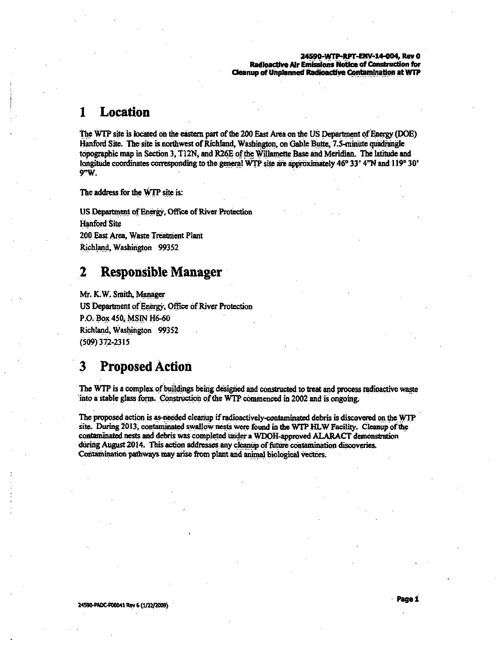#### 1 **Location**

The WTP site is located on the eastern part of the 200 East Area on the US Department of Energy (DOE) Hanford Site. The site is northwest of Richland, Washington, on Gable Butte, 7.5-minute quadrangle topographic map in Section 3, T12N, and R26E of the Willamette Base and Meridian. The latitude and longitude coordinates corresponding to the general WTP site are approximately 46° 33' 4"N and 119° 30' 9"W.

The address for the WTP site is:

US Department of Energy, Office of River Protection **Hanford Site** 200 East Area. Waste Treatment Plant Richland, Washington 99352

#### 2 **Responsible Manager**

Mr. K.W. Smith, Manager US Department of Energy, Office of River Protection P.O. Box 450, MSIN H6-60 Richland, Washington 99352 (509) 372-2315

#### 3 **Proposed Action**

The WTP is a complex of buildings being designed and constructed to treat and process radioactive waste into a stable glass form. Construction of the WTP commenced in 2002 and is ongoing.

The proposed action is as-needed cleanup if radioactively-contaminated debris is discovered on the WTP site. During 2013, contaminated swallow nests were found in the WTP HLW Facility. Cleanup of the contaminated nests and debris was completed under a WDOH-approved ALARACT demonstration during August 2014. This action addresses any cleanup of future contamination discoveries. Contamination pathways may arise from plant and animal biological vectors.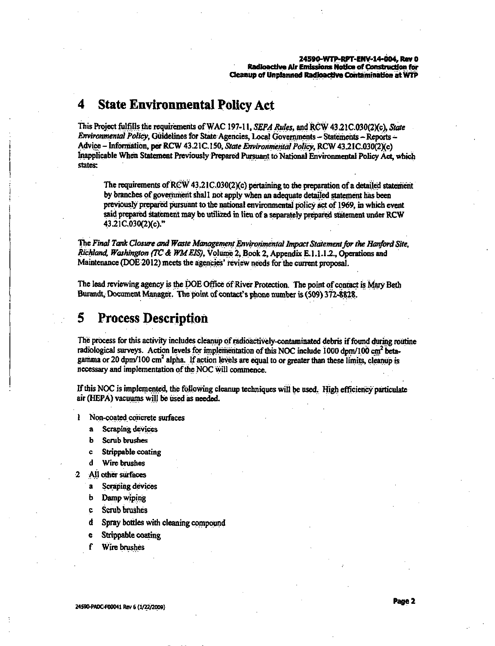#### 4 **State Environmental Policy Act**

This Project fulfills the requirements of WAC 197-11. SEPA Rules, and RCW 43.21C.030(2)(c), State Environmental Policy, Güidelines for State Agencies, Local Governments - Statements - Reports -Advice - Information, per RCW 43.21C.150, State Environmental Policy, RCW 43.21C.030(2)(c) Inapplicable When Statement Previously Prepared Pursuant to National Environmental Policy Act, which states:

The requirements of RCW 43.21C.030(2)(c) pertaining to the preparation of a detailed statement by branches of government shall not apply when an adequate detailed statement has been previously prepared pursuant to the national environmental policy act of 1969, in which event said prepared statement may be utilized in lieu of a separately prepared statement under RCW 43.21C.030(2)(c)."

The Final Tank Closure and Waste Management Environmental Impact Statement for the Hanford Site, Richland, Washington (TC & WM EIS), Volume 2, Book 2, Appendix E.1.1.1.2., Operations and Maintenance (DOE 2012) meets the agencies' review needs for the current proposal.

The lead reviewing agency is the DOE Office of River Protection. The point of contact is Mary Beth Burandt, Document Manager. The point of contact's phone number is (509) 372-8828.

#### 5 **Process Description**

The process for this activity includes cleanup of radioactively-contaminated debris if found during routine radiological surveys. Action levels for implementation of this NOC include 1000 dpm/100 cm<sup>2</sup> betagamma or 20 dpm/100 cm<sup>2</sup> alpha. If action levels are equal to or greater than these limits, cleanup is necessary and implementation of the NOC will commence.

If this NOC is implemented, the following cleanup techniques will be used. High efficiency particulate air (HEPA) vacuums will be used as needed.

Non-coated concrete surfaces

- Scraping devices  $\mathbf{a}$
- Scrub brushes Ь
- ċ. Strippable coating
- Wire brushes d.
- All other surfaces  $\overline{2}$ 
	- Scraping devices  $\mathbf{a}$
	- b Damp wiping
	- Scrub brushes c
	- đ Spray bottles with cleaning compound
	- e Strippable coating
	- f Wire brushes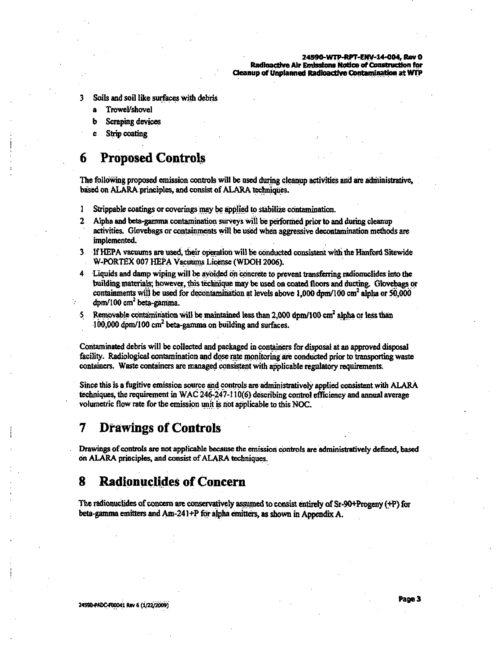Soils and soil like surfaces with debris  $\overline{\mathbf{3}}$ 

- Trowel/shovel
- Scraping devices h
- Strip coating

#### **Proposed Controls** 6

The following proposed emission controls will be used during cleanup activities and are administrative, based on ALARA principles, and consist of ALARA techniques.

- $\mathbf{1}$ Strippable coatings or coverings may be applied to stabilize contamination.
- Alpha and beta-gamma contamination surveys will be performed prior to and during cleanup  $\overline{2}$ activities. Glovebags or containments will be used when aggressive decontamination methods are imolemented.
- If HEPA vacuums are used, their operation will be conducted consistent with the Hanford Sitewide 3. W-PORTEX 007 HEPA Vacuums License (WDOH 2006).
- Liquids and damp wiping will be avoided on concrete to prevent transferring radionuclides into the building materials; however, this technique may be used on coated floors and ducting. Glovebags or containments will be used for decontamination at levels above 1,000 dpm/100 cm<sup>2</sup> alpha or 50,000 dpm/100 cm<sup>2</sup> beta-gamma.
- 5. Removable contamination will be maintained less than 2,000 dpm/100 cm<sup>2</sup> alpha or less than  $100,000$  dpm/100 cm<sup>2</sup> beta-gamma on building and surfaces.

Contaminated debris will be collected and packaged in containers for disposal at an approved disposal facility. Radiological contamination and dose rate monitoring are conducted prior to transporting waste containers. Waste containers are managed consistent with applicable regulatory requirements.

Since this is a fugitive emission source and controls are administratively applied consistent with ALARA techniques, the requirement in WAC 246-247-110(6) describing control efficiency and annual average volumetric flow rate for the emission unit is not applicable to this NOC.

#### **Drawings of Controls** 7

Drawings of controls are not applicable because the emission controls are administratively defined, based on ALARA principles, and consist of ALARA techniques.

#### **Radionuclides of Concern** 8

The radionuclides of concern are conservatively assumed to consist entirely of Sr-90+Progeny (+P) for beta-gamma emitters and Am-241+P for alpha emitters, as shown in Appendix A.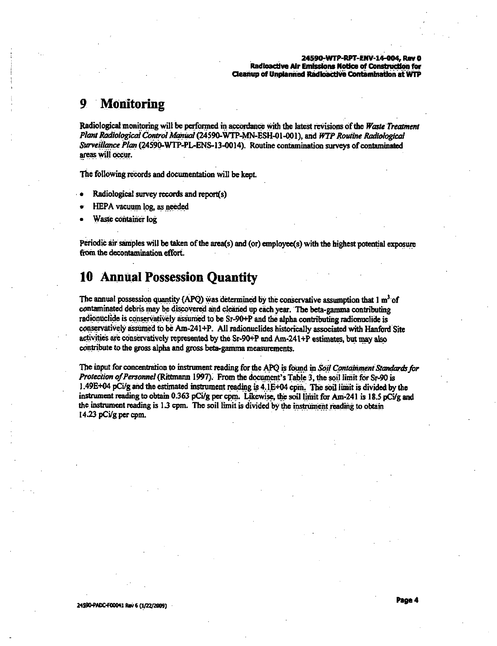#### **Monitoring** 9

Radiological monitoring will be performed in accordance with the latest revisions of the Waste Treatment Plant Radiological Control Manual (24590-WTP-MN-ESH-01-001), and WTP Routine Radiological Surveillance Plan (24590-WTP-PL-ENS-13-0014). Routine contamination surveys of contaminated areas will occur.

The following records and documentation will be kept.

- Radiological survey records and report(s)
- HEPA vacuum log, as needed
- Waste container log

Periodic air samples will be taken of the area(s) and (or) employee(s) with the highest potential exposure from the decontamination effort.

## **10 Annual Possession Quantity**

The annual possession quantity (APO) was determined by the conservative assumption that  $1 \text{ m}^3$  of contaminated debris may be discovered and cleaned up each year. The beta-gamma contributing radionuclide is conservatively assumed to be Sr-90+P and the alpha contributing radionuclide is conservatively assumed to be Am-241+P. All radionuclides historically associated with Hanford Site activities are conservatively represented by the Sr-90+P and Am-241+P estimates, but may also contribute to the gross alpha and gross beta-gamma measurements.

The input for concentration to instrument reading for the APQ is found in Soil Containment Standards for Protection of Personnel (Rittmann 1997). From the document's Table 3, the soil limit for Sr-90 is 1.49E+04 pCi/g and the estimated instrument reading is 4.1E+04 cpm. The soil limit is divided by the instrument reading to obtain 0.363 pCi/g per cpm. Likewise, the soil limit for Am-241 is 18.5 pCi/g and the instrument reading is 1.3 cpm. The soil limit is divided by the instrument reading to obtain 14.23 pCi/g per cpm.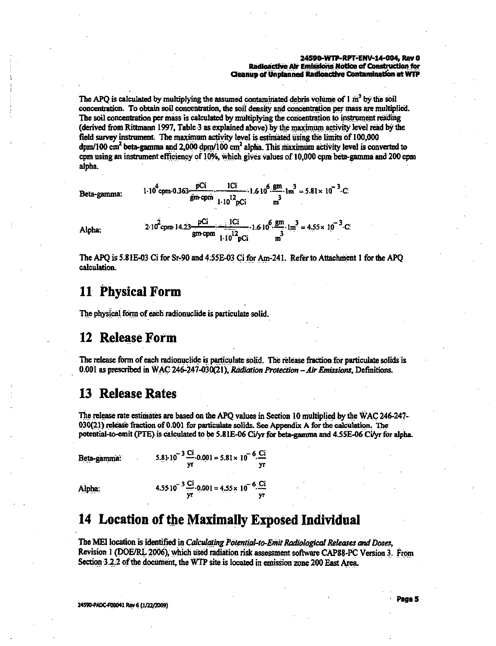The APQ is calculated by multiplying the assumed contaminated debris volume of  $1 \text{ m}^3$  by the soil concentration. To obtain soil concentration, the soil density and concentration per mass are multiplied. The soil concentration per mass is calculated by multiplying the concentration to instrument reading (derived from Rittmann 1997, Table 3 as explained above) by the maximum activity level read by the field survey instrument. The maximum activity level is estimated using the limits of 100,000  $\text{dpm}/100 \text{ cm}^2$  beta-gamma and 2,000  $\text{dpm}/100 \text{ cm}^2$  alpha. This maximum activity level is converted to com using an instrument efficiency of 10%, which gives values of 10,000 com beta-gamma and 200 com alpha.

1.10<sup>4</sup> cpm.0.363  $\frac{\text{pCi}}{\text{gm} \cdot \text{cpm}}$  .1.6.10<sup>6</sup>  $\frac{\text{gm}}{\text{gm}} \cdot \text{lm}^3 = 5.81 \times 10^{-3}$  .C.

Alpha:

$$
10^{2} \text{cpm} \cdot 14.23 \frac{\text{pCi}}{\text{gm-cpm}} \cdot \frac{1 \text{Ci}}{1 \cdot 10^{12} \text{pCi}} \cdot 1.610^{6} \cdot \frac{\text{gm}}{\text{m}} \cdot \text{lm}^{3} = 4.55 \times 10^{-3} \cdot \text{C}
$$

The APO is 5.81E-03 Ci for Sr-90 and 4.55E-03 Ci for Am-241. Refer to Attachment 1 for the APO calculation.

#### **Physical Form** 11:

 $\overline{2}$ 

The physical form of each radionuclide is particulate solid.

## 12 Release Form

The release form of each radionuclide is particulate solid. The release fraction for particulate solids is 0.001 as prescribed in WAC 246-247-030(21), Rädiation Protection - Air Emissions, Definitions.

## **13 Release Rates**

The release rate estimates are based on the APO values in Section 10 multiplied by the WAC 246-247-030(21) release fraction of 0.001 for particulate solids. See Appendix A for the calculation. The potential-to-emit (PTE) is calculated to be 5.81E-06 Ci/vr for beta-gamma and 4.55E-06 Ci/vr for alpha.

Beta-gamma:

 $5.81 \cdot 10^{-3} \frac{\text{Ci}}{\text{vr}} \cdot 0.001 = 5.81 \times 10^{-6} \frac{\text{Ci}}{\text{vr}}$ 

Alpha:

4.55  $10^{-3} \frac{CI}{yr} \cdot 0.001 = 4.55 \times 10^{-6} \frac{CI}{yr}$ 

## 14 Location of the Maximally Exposed Individual

The MEI location is identified in Calculating Potential-to-Emit Radiological Releases and Doses, Revision 1 (DOE/RL 2006), which used radiation risk assessment software CAP88-PC Version 3. From Section 3.2.2 of the document, the WTP site is located in emission zone 200 East Area.

24590-PADC-F00041 Rev 6 (1/22/2009)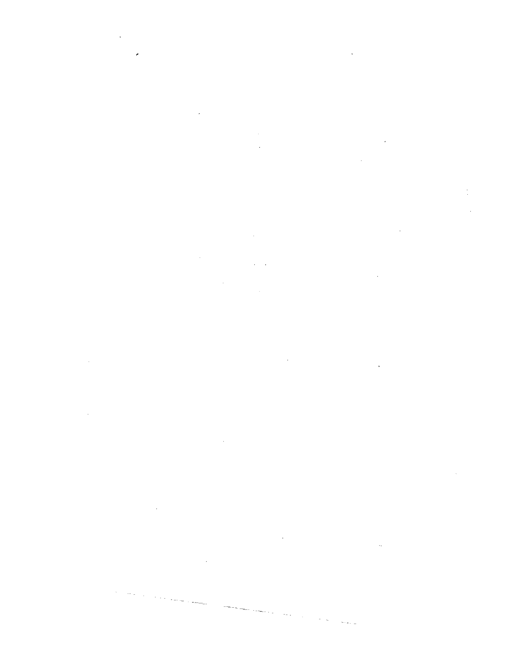$\mathcal{L}^{\text{max}}_{\text{max}}$ 

 $\label{eq:2.1} \frac{1}{\sqrt{2}}\left(\frac{1}{\sqrt{2}}\right)^{2} \left(\frac{1}{\sqrt{2}}\right)^{2} \left(\frac{1}{\sqrt{2}}\right)^{2} \left(\frac{1}{\sqrt{2}}\right)^{2} \left(\frac{1}{\sqrt{2}}\right)^{2} \left(\frac{1}{\sqrt{2}}\right)^{2} \left(\frac{1}{\sqrt{2}}\right)^{2} \left(\frac{1}{\sqrt{2}}\right)^{2} \left(\frac{1}{\sqrt{2}}\right)^{2} \left(\frac{1}{\sqrt{2}}\right)^{2} \left(\frac{1}{\sqrt{2}}\right)^{2} \left(\$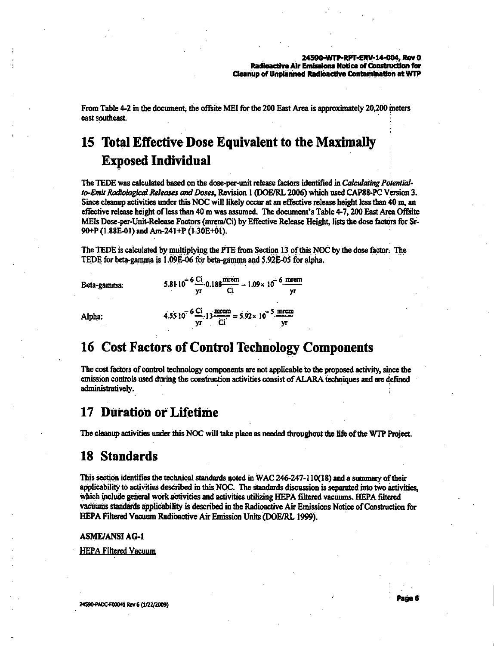From Table 4-2 in the document, the offsite MEI for the 200 East Area is approximately 20,200 meters east southeast.

## 15 Total Effective Dose Equivalent to the Maximally **Exposed Individual**

The TEDE was calculated based on the dose-per-unit release factors identified in Calculating Potentialto-Emit Radiological Releases and Doses, Revision 1 (DOE/RL 2006) which used CAP88-PC Version 3. Since cleanup activities under this NOC will likely occur at an effective release height less than 40 m, an effective release height of less than 40 m was assumed. The document's Table 4-7, 200 East Area Offsite MEIs Dose-per-Unit-Release Factors (mrem/Ci) by Effective Release Height, lists the dose factors for Sr-90+P (1.88E-01) and Am-241+P (1.30E+01).

The TEDE is calculated by multiplying the PTE from Section 13 of this NOC by the dose factor. The TEDE for beta-gamma is 1.09E-06 for beta-gamma and 5.92E-05 for alpha.

Beta-gamma:

5.81  $10^{-6} \frac{\text{Ci}}{\text{yr}} \cdot 0.188 \frac{\text{mrem}}{\text{Ci}} = 1.09 \times 10^{-6} \frac{\text{mrem}}{\text{yr}}$ 

Alpha:

#### **Cost Factors of Control Technology Components** 16

4.55  $10^{-6} \frac{Ci}{yr}$  13  $\frac{mrem}{Ci}$  = 5.92× 10<sup>-5</sup>  $\frac{mrem}{yr}$ 

The cost factors of control technology components are not applicable to the proposed activity, since the emission controls used during the construction activities consist of ALARA techniques and are defined administratively.

#### 17. **Duration or Lifetime**

The cleanup activities under this NOC will take place as needed throughout the life of the WTP Project.

## 18 Standards

This section identifies the technical standards noted in WAC 246-247-110(18) and a summary of their applicability to activities described in this NOC. The standards discussion is separated into two activities, which include general work activities and activities utilizing HEPA filtered vacuums. HEPA filtered vacuums standards applicability is described in the Radioactive Air Emissions Notice of Construction for HEPA Filtered Vacuum Radioactive Air Emission Units (DOE/RL 1999).

**ASME/ANSI AG-1** 

**HEPA Filtered Vacuum**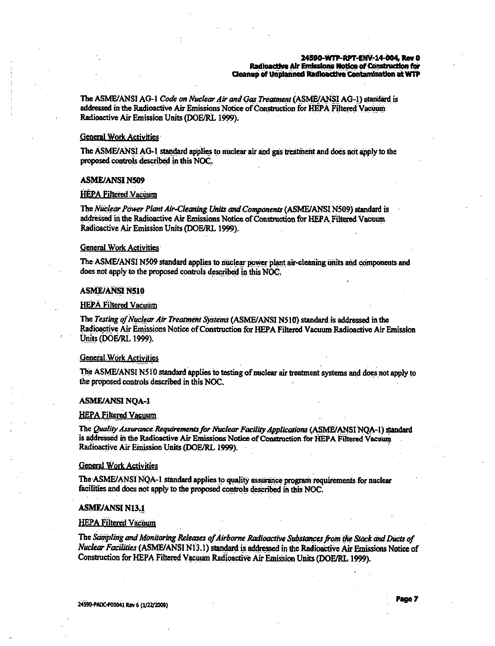The ASME/ANSI AG-1 Code on Nuclear Air and Gas Treatment (ASME/ANSI AG-1) standard is addressed in the Radioactive Air Emissions Notice of Construction for HEPA Filtered Vacuum Radioactive Air Emission Units (DOE/RL 1999).

#### **General Work Activities**

The ASME/ANSI AG-1 standard applies to nuclear air and gas treatment and does not apply to the proposed controls described in this NOC.

#### **ASME/ANSI N509**

#### **HEPA Filtered Vacuum**

The Nuclear Power Plant Air-Cleaning Units and Components (ASME/ANSI N509) standard is addressed in the Radioactive Air Emissions Notice of Construction for HEPA Filtered Vacuum Radioactive Air Emission Units (DOE/RL 1999).

#### **General Work Activities**

The ASME/ANSI N509 standard applies to nuclear power plant air-cleaning units and components and does not apply to the proposed controls described in this NOC.

#### **ASME/ANSI N510**

#### **HEPA Filtered Vacuum**

The Testing of Nuclear Air Treatment Systems (ASME/ANSI N510) standard is addressed in the Radioactive Air Emissions Notice of Construction for HEPA Filtered Vacuum Radioactive Air Emission Units (DOE/RL 1999).

#### **General Work Activities**

The ASME/ANSI N510 standard applies to testing of nuclear air treatment systems and does not apply to the proposed controls described in this NOC.

#### **ASME/ANSI NOA-1**

#### **HEPA Filtered Vacuum**

The Quality Assurance Requirements for Nuclear Facility Applications (ASME/ANSI NQA-1) standard is addressed in the Radioactive Air Emissions Notice of Construction for HEPA Filtered Vacuum Radioactive Air Emission Units (DOE/RL 1999).

#### **General Work Activities**

The ASME/ANSI NQA-1 standard applies to quality assurance program requirements for nuclear facilities and does not apply to the proposed controls described in this NOC.

#### **ASME/ANSI N13.1**

#### **HEPA Filtered Vacuum**

The Sampling and Monitoring Releases of Airborne Radioactive Substances from the Stack and Ducts of Nuclear Facilities (ASME/ANSI N13.1) standard is addressed in the Radioactive Air Emissions Notice of Construction for HEPA Filtered Vacuum Radioactive Air Emission Units (DOE/RL 1999).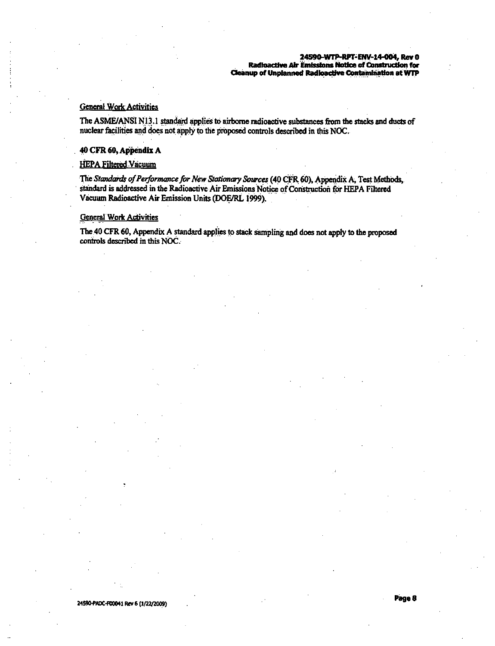#### **General Work Activities**

The ASME/ANSI N13.1 standard applies to airborne radioactive substances from the stacks and ducts of nuclear facilities and does not apply to the proposed controls described in this NOC.

#### 40 CFR 60, Appendix A

#### **HEPA Filtered Vacuum**

The Standards of Performance for New Stationary Sources (40 CFR 60), Appendix A, Test Methods, standard is addressed in the Radioactive Air Emissions Notice of Construction for HEPA Filtered Vacuum Radioactive Air Emission Units (DOE/RL 1999).

#### **General Work Activities**

The 40 CFR 60, Appendix A standard applies to stack sampling and does not apply to the proposed controls described in this NOC.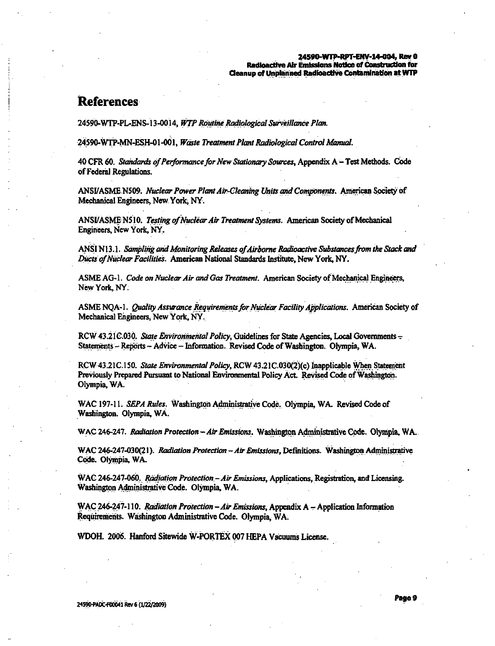## **References**

24590-WTP-PL-ENS-13-0014, WTP Routine Radiological Surveillance Plan.

24590-WTP-MN-ESH-01-001. Wäste Treatment Plant Radiological Control Manual.

40 CFR 60. Standards of Performance for New Stationary Sources, Appendix A - Test Methods. Code of Federal Regulations.

ANSI/ASME N509. Nuclear Power Plant Air-Cleaning Units and Components. American Society of Mechanical Engineers, New York, NY.

ANSI/ASME N510. Testing of Nuclear Air Treatment Systems. American Society of Mechanical Engineers, New York, NY.

ANSI N13.1. Sampling and Monitoring Releases of Airborne Radioactive Substances from the Stack and Ducts of Nuclear Facilities. American National Standards Institute, New York, NY.

ASME AG-1. Code on Nuclear Air and Gas Treatment. American Society of Mechanical Engineers. New York, NY.

ASME NOA-1. Ouality Assurance Requirements for Nuclear Facility Applications. American Society of Mechanical Engineers. New York. NY.

RCW 43.21C.030. State Environmental Policy, Guidelines for State Agencies, Local Governments -Statements - Reports - Advice - Information. Revised Code of Washington. Olympia, WA.

RCW 43.21C.150. State Environmental Policy, RCW 43.21C.030(2)(c) Inapplicable When Statement Previously Prepared Pursuant to National Environmental Policy Act. Revised Code of Washington. Olympia, WA.

WAC 197-11. SEPA Rules. Washington Administrative Code. Olympia, WA. Revised Code of Washington. Olympia, WA.

WAC 246-247. Radiation Protection - Air Emissions. Washington Administrative Code. Olympia, WA.

WAC 246-247-030(21). Radiation Protection - Air Emissions, Definitions. Washington Administrative Code. Olympia, WA.

WAC 246-247-060. Radiation Protection - Air Emissions, Applications, Registration, and Licensing. Washington Administrative Code. Olympia, WA.

WAC 246-247-110. Radiation Protection - Air Emissions, Appendix A - Application Information Requirements. Washington Administrative Code. Olympia, WA.

WDOH. 2006. Hanford Sitewide W-PORTEX 007 HEPA Vacuums License.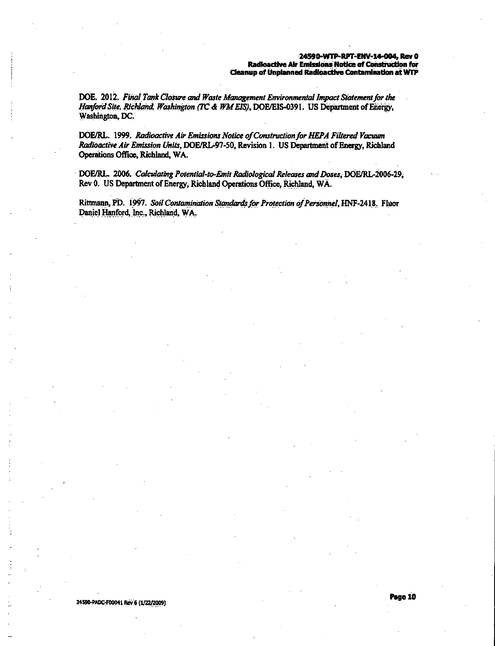DOE. 2012. Final Tank Closure and Waste Management Environmental Impact Statement for the Hanford Site, Richland, Washington (TC & WM EIS), DOE/EIS-0391. US Department of Energy, Washington, DC.

DOE/RL. 1999. Radioactive Air Emissions Notice of Construction for HEPA Filtered Vacuum Radioactive Air Emission Units, DOE/RL-97-50, Revision 1. US Department of Energy, Richland Operations Office, Richland, WA.

DOE/RL. 2006. Calculating Potential-to-Emit Radiological Releases and Doses, DOE/RL-2006-29, Rev 0. US Department of Energy, Richland Operations Office, Richland, WA.

Rittmann, PD. 1997. Soil Contamination Standards for Protection of Personnel, HNF-2418. Fluor Daniel Hanford, Inc., Richland, WA.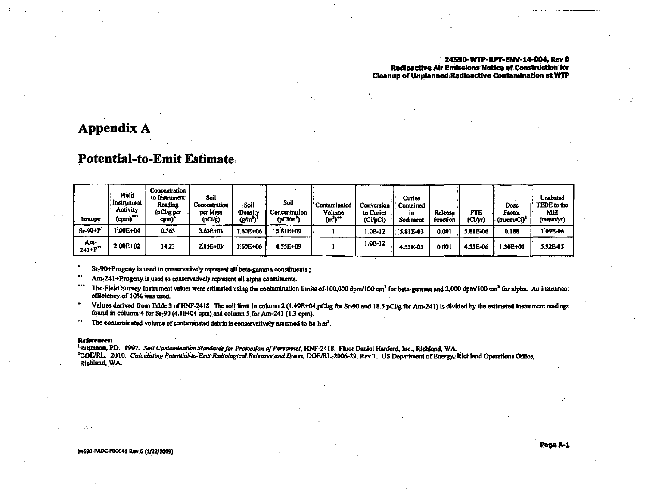## **Appendix A**

## **Potential-to-Emit Estimate**

| <b>Isolope</b>   | Field<br>Instrument<br><b>Activity</b><br>$\sim$ and $\sim$<br>(cpm)) | Concentration<br>to Instrument <sup>.</sup><br>Reading<br>(pCi/g per<br>cpm)' | <b>Soil</b><br>Concentration<br>per Mass<br>(pCu) | Soil<br>Density<br>(g/m') | Soil<br>Concentration<br>(pCym) | Contaminated<br>Volume<br>$(m^3)$ <sup>++</sup> | Conversion<br>to Curies<br>(Ci/pCi) | Curies<br>Contained<br>in.<br>Sediment | Release<br>Fraction | PTE<br>(Ci/yr) | Dosc<br>Factor<br>(mrem/Ci) <sup>2</sup> | Unabated<br>TEDE to the<br><b>MEI</b><br>(mrem/yr) |
|------------------|-----------------------------------------------------------------------|-------------------------------------------------------------------------------|---------------------------------------------------|---------------------------|---------------------------------|-------------------------------------------------|-------------------------------------|----------------------------------------|---------------------|----------------|------------------------------------------|----------------------------------------------------|
| $S_F$ -90+P      | l:00E+04                                                              | 0.363                                                                         | 3.63E+03                                          | 60E+06                    | 5.81E+09                        |                                                 | I OE-12                             | 5.81E-03                               | 0.001               | 5.81E-06       | 0.188                                    | 1.09E-06                                           |
| Am-<br>$241 + P$ | 2.00E+02                                                              | 14.23                                                                         | 2.85E+03                                          | 1.60E+06                  | 4.55E+09                        |                                                 | $1.0E-12$                           | 4.55E-03                               | 0.001               | 4.55E-06       | 30E+01                                   | 5.92E-05                                           |

Sr-90+Progeny is used to conservatively represent all beta-gamma constituents.;

Am-241+Progeny is used to conservatively represent all alpha constituents.

 $...$ The Field Survey Instrument values were estimated using the contamination limits of 100,000 dpm/100 cm<sup>2</sup> for beta-gamma and 2,000 dpm/100 cm<sup>2</sup> for alpha. An instrument efficiency of 10% was used.

 $\ddot{}$ Values derived from Table 3 of HNF-2418. The soil limit in column 2 (1.49E+04 pCi/g for Sr-90 and 18.5 pCi/g for Am-241) is divided by the estimated instrument readings found in column 4 for Sr-90 (4.1E+04 cpm) and column 5 for Am-241 (1.3 cpm).

 $\ddot{}$ The contaminated volume of contaminated debris is conservatively assumed to be  $1 \cdot m^3$ .

#### References:

<sup>1</sup>Rittmann, PD. 1997. Soil Contamination Standards for Protection of Personnel, HNF-2418. Fluot Daniel Hanford, Inc., Richland, WA. <sup>2</sup>DOE/RL. 2010. Calculating Potential-to-Emit Radiological Releases and Doses, DOE/RL-2006-29, Rev 1. US Department of Energy, Richland Operations Office, Richland, WA.

Page A-1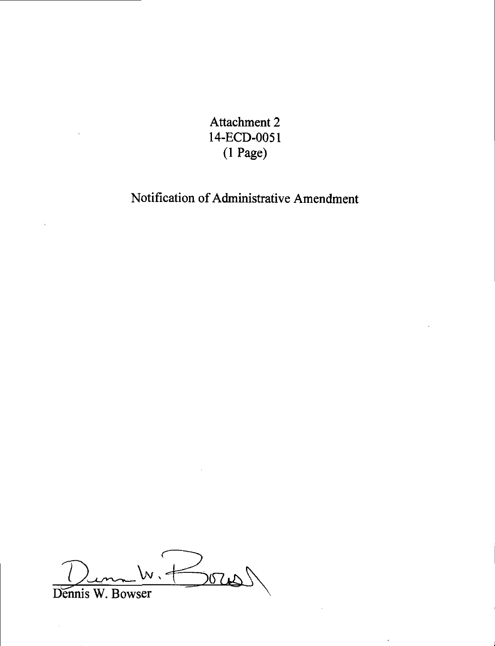Attachment 2 l 4-ECD-0051 (1 Page)

Notification of Administrative Amendment

 $\epsilon$ 

Dumm W. DOUS